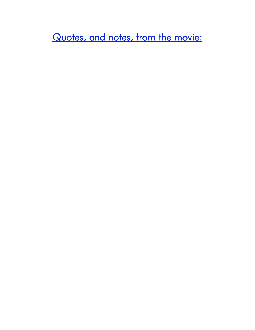Quotes, and notes, from the movie:

## TU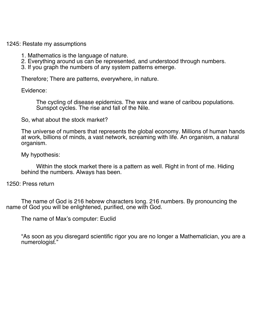1245: Restate my assumptions

- 1. Mathematics is the language of nature.
- 2. Everything around us can be represented, and understood through numbers.
- 3. If you graph the numbers of any system patterns emerge.

Therefore; There are patterns, everywhere, in nature.

Evidence:

The cycling of disease epidemics. The wax and wane of caribou populations. Sunspot cycles. The rise and fall of the Nile.

So, what about the stock market?

The universe of numbers that represents the global economy. Millions of human hands at work, billions of minds, a vast network, screaming with life. An organism, a natural organism.

My hypothesis:

Within the stock market there is a pattern as well. Right in front of me. Hiding behind the numbers. Always has been.

1250: Press return

The name of God is 216 hebrew characters long. 216 numbers. By pronouncing the name of God you will be enlightened, purified, one with God.

The name of Max's computer: Euclid

"As soon as you disregard scientific rigor you are no longer a Mathematician, you are a numerologist."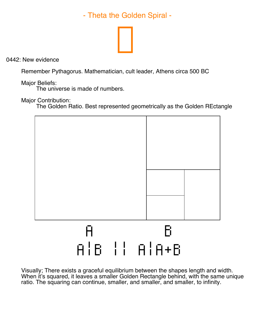- Theta the Golden Spiral -



0442: New evidence

Remember Pythagorus. Mathematician, cult leader, Athens circa 500 BC

Major Beliefs:

The universe is made of numbers.

Major Contribution:

The Golden Ratio. Best represented geometrically as the Golden REctangle



Visually; There exists a graceful equilibrium between the shapes length and width. When it's squared, it leaves a smaller Golden Rectangle behind, with the same unique ratio. The squaring can continue, smaller, and smaller, and smaller, to infinity.